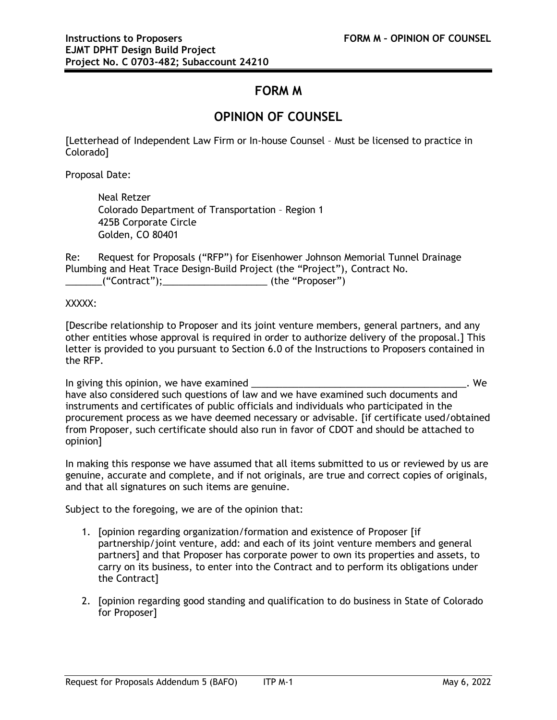## **FORM M**

## **OPINION OF COUNSEL**

[Letterhead of Independent Law Firm or In-house Counsel – Must be licensed to practice in Colorado]

Proposal Date:

Neal Retzer Colorado Department of Transportation – Region 1 425B Corporate Circle Golden, CO 80401

Re: Request for Proposals ("RFP") for Eisenhower Johnson Memorial Tunnel Drainage Plumbing and Heat Trace Design-Build Project (the "Project"), Contract No. \_\_\_\_\_\_\_("Contract");\_\_\_\_\_\_\_\_\_\_\_\_\_\_\_\_\_\_\_\_ (the "Proposer")

XXXXX:

[Describe relationship to Proposer and its joint venture members, general partners, and any other entities whose approval is required in order to authorize delivery of the proposal.] This letter is provided to you pursuant to Section 6.0 of the Instructions to Proposers contained in the RFP.

In giving this opinion, we have examined \_\_\_\_\_\_\_\_\_\_\_\_\_\_\_\_\_\_\_\_\_\_\_\_\_\_\_\_\_\_\_\_\_\_\_\_\_\_\_\_\_. We have also considered such questions of law and we have examined such documents and instruments and certificates of public officials and individuals who participated in the procurement process as we have deemed necessary or advisable. [if certificate used/obtained from Proposer, such certificate should also run in favor of CDOT and should be attached to opinion]

In making this response we have assumed that all items submitted to us or reviewed by us are genuine, accurate and complete, and if not originals, are true and correct copies of originals, and that all signatures on such items are genuine.

Subject to the foregoing, we are of the opinion that:

- 1. [opinion regarding organization/formation and existence of Proposer [if partnership/joint venture, add: and each of its joint venture members and general partners] and that Proposer has corporate power to own its properties and assets, to carry on its business, to enter into the Contract and to perform its obligations under the Contract]
- 2. [opinion regarding good standing and qualification to do business in State of Colorado for Proposer]